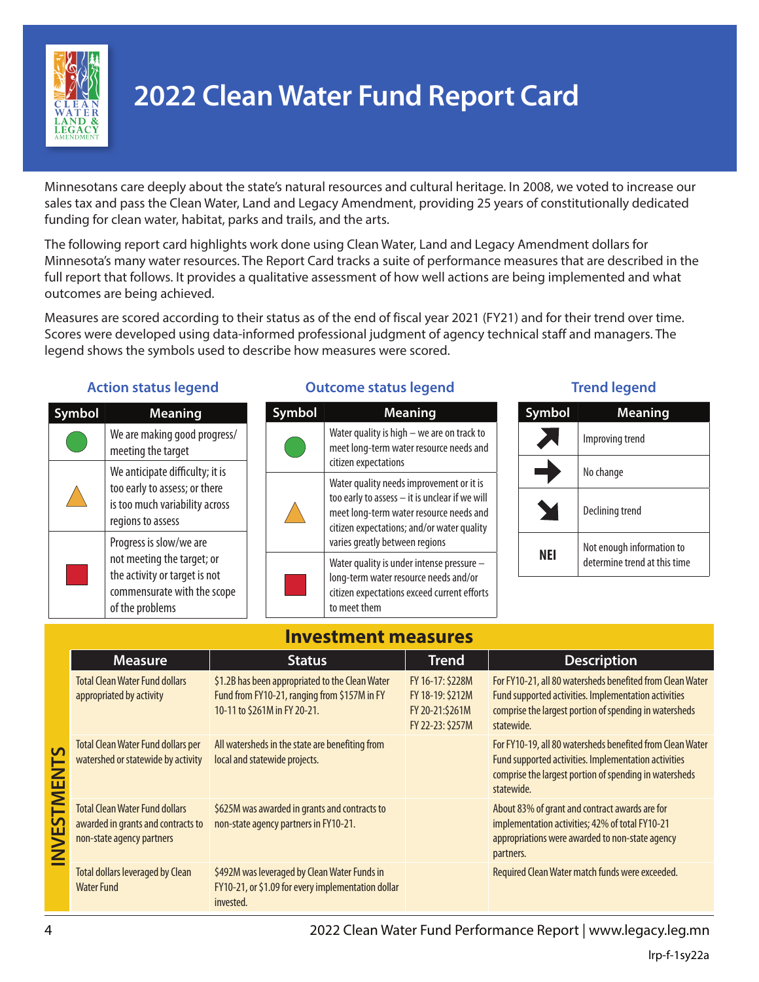

# **2022 Clean Water Fund Report Card**

Minnesotans care deeply about the state's natural resources and cultural heritage. In 2008, we voted to increase our sales tax and pass the Clean Water, Land and Legacy Amendment, providing 25 years of constitutionally dedicated funding for clean water, habitat, parks and trails, and the arts.

The following report card highlights work done using Clean Water, Land and Legacy Amendment dollars for Minnesota's many water resources. The Report Card tracks a suite of performance measures that are described in the full report that follows. It provides a qualitative assessment of how well actions are being implemented and what outcomes are being achieved.

Measures are scored according to their status as of the end of fiscal year 2021 (FY21) and for their trend over time. Scores were developed using data-informed professional judgment of agency technical staff and managers. The legend shows the symbols used to describe how measures were scored.

### **Action status legend**

| mbol | <b>Meaning</b>                                                                                                                           |  |  |
|------|------------------------------------------------------------------------------------------------------------------------------------------|--|--|
|      | We are making good progress/<br>meeting the target                                                                                       |  |  |
|      | We anticipate difficulty; it is<br>too early to assess; or there<br>is too much variability across<br>regions to assess                  |  |  |
|      | Progress is slow/we are<br>not meeting the target; or<br>the activity or target is not<br>commensurate with the scope<br>of the problems |  |  |

### **Outcome status legend Trend legend**

| zmbol | <b>Meaning</b>                                                                                                                                                                                                        |
|-------|-----------------------------------------------------------------------------------------------------------------------------------------------------------------------------------------------------------------------|
|       | Water quality is high - we are on track to<br>meet long-term water resource needs and<br>citizen expectations                                                                                                         |
|       | Water quality needs improvement or it is<br>too early to assess - it is unclear if we will<br>meet long-term water resource needs and<br>citizen expectations; and/or water quality<br>varies greatly between regions |
|       | Water quality is under intense pressure -<br>long-term water resource needs and/or<br>citizen expectations exceed current efforts<br>to meet them                                                                     |

| <b>Symbol</b> | <b>Meaning</b>                                            |  |  |
|---------------|-----------------------------------------------------------|--|--|
|               | Improving trend                                           |  |  |
|               | No change                                                 |  |  |
|               | Declining trend                                           |  |  |
|               | Not enough information to<br>determine trend at this time |  |  |

## **Investment measures**

|                         | <b>Measure</b>                                                                                           | <b>Status</b>                                                                                                                   | <b>Trend</b>                                                                | <b>Description</b>                                                                                                                                                                        |  |  |
|-------------------------|----------------------------------------------------------------------------------------------------------|---------------------------------------------------------------------------------------------------------------------------------|-----------------------------------------------------------------------------|-------------------------------------------------------------------------------------------------------------------------------------------------------------------------------------------|--|--|
|                         | <b>Total Clean Water Fund dollars</b><br>appropriated by activity                                        | \$1.2B has been appropriated to the Clean Water<br>Fund from FY10-21, ranging from \$157M in FY<br>10-11 to \$261M in FY 20-21. | FY 16-17: \$228M<br>FY 18-19: \$212M<br>FY 20-21:\$261M<br>FY 22-23: \$257M | For FY10-21, all 80 watersheds benefited from Clean Water<br>Fund supported activities. Implementation activities<br>comprise the largest portion of spending in watersheds<br>statewide. |  |  |
| $\overline{\mathsf{S}}$ | <b>Total Clean Water Fund dollars per</b><br>watershed or statewide by activity                          | All watersheds in the state are benefiting from<br>local and statewide projects.                                                |                                                                             | For FY10-19, all 80 watersheds benefited from Clean Water<br>Fund supported activities. Implementation activities<br>comprise the largest portion of spending in watersheds<br>statewide. |  |  |
| ESTME                   | <b>Total Clean Water Fund dollars</b><br>awarded in grants and contracts to<br>non-state agency partners | \$625M was awarded in grants and contracts to<br>non-state agency partners in FY10-21.                                          |                                                                             | About 83% of grant and contract awards are for<br>implementation activities; 42% of total FY10-21<br>appropriations were awarded to non-state agency<br>partners.                         |  |  |
|                         | <b>Total dollars leveraged by Clean</b><br><b>Water Fund</b>                                             | \$492M was leveraged by Clean Water Funds in<br>FY10-21, or \$1.09 for every implementation dollar<br>invested.                 |                                                                             | Required Clean Water match funds were exceeded.                                                                                                                                           |  |  |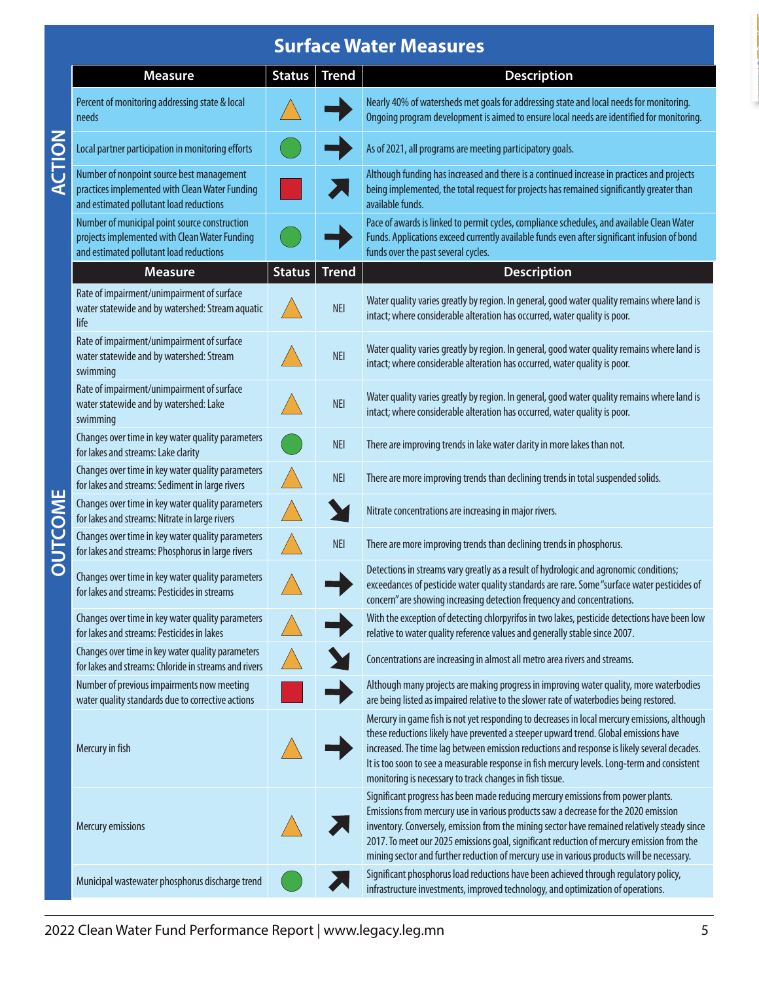## **Surface Water Measures**

|                | <b>Measure</b>                                                                                                                            | <b>Status</b> | <b>Trend</b> | <b>Description</b>                                                                                                                                                                                                                                                                                                                                                                                                                                                |
|----------------|-------------------------------------------------------------------------------------------------------------------------------------------|---------------|--------------|-------------------------------------------------------------------------------------------------------------------------------------------------------------------------------------------------------------------------------------------------------------------------------------------------------------------------------------------------------------------------------------------------------------------------------------------------------------------|
| ACTION         | Percent of monitoring addressing state & local<br>needs                                                                                   |               |              | Nearly 40% of watersheds met goals for addressing state and local needs for monitoring.<br>Ongoing program development is aimed to ensure local needs are identified for monitoring.                                                                                                                                                                                                                                                                              |
|                | Local partner participation in monitoring efforts                                                                                         |               |              | As of 2021, all programs are meeting participatory goals.                                                                                                                                                                                                                                                                                                                                                                                                         |
|                | Number of nonpoint source best management<br>practices implemented with Clean Water Funding<br>and estimated pollutant load reductions    |               |              | Although funding has increased and there is a continued increase in practices and projects<br>being implemented, the total request for projects has remained significantly greater than<br>available funds.                                                                                                                                                                                                                                                       |
|                | Number of municipal point source construction<br>projects implemented with Clean Water Funding<br>and estimated pollutant load reductions |               |              | Pace of awards is linked to permit cycles, compliance schedules, and available Clean Water<br>Funds. Applications exceed currently available funds even after significant infusion of bond<br>funds over the past several cycles.                                                                                                                                                                                                                                 |
|                | <b>Measure</b>                                                                                                                            | <b>Status</b> | <b>Trend</b> | <b>Description</b>                                                                                                                                                                                                                                                                                                                                                                                                                                                |
|                | Rate of impairment/unimpairment of surface<br>water statewide and by watershed: Stream aquatic<br>life                                    |               | <b>NEI</b>   | Water quality varies greatly by region. In general, good water quality remains where land is<br>intact; where considerable alteration has occurred, water quality is poor.                                                                                                                                                                                                                                                                                        |
|                | Rate of impairment/unimpairment of surface<br>water statewide and by watershed: Stream<br>swimming                                        |               | <b>NEI</b>   | Water quality varies greatly by region. In general, good water quality remains where land is<br>intact; where considerable alteration has occurred, water quality is poor.                                                                                                                                                                                                                                                                                        |
|                | Rate of impairment/unimpairment of surface<br>water statewide and by watershed: Lake<br>swimming                                          |               | <b>NEI</b>   | Water quality varies greatly by region. In general, good water quality remains where land is<br>intact; where considerable alteration has occurred, water quality is poor.                                                                                                                                                                                                                                                                                        |
|                | Changes over time in key water quality parameters<br>for lakes and streams: Lake clarity                                                  |               | <b>NEI</b>   | There are improving trends in lake water clarity in more lakes than not.                                                                                                                                                                                                                                                                                                                                                                                          |
|                | Changes over time in key water quality parameters<br>for lakes and streams: Sediment in large rivers                                      |               | <b>NEI</b>   | There are more improving trends than declining trends in total suspended solids.                                                                                                                                                                                                                                                                                                                                                                                  |
|                | Changes over time in key water quality parameters<br>for lakes and streams: Nitrate in large rivers                                       |               |              | Nitrate concentrations are increasing in major rivers.                                                                                                                                                                                                                                                                                                                                                                                                            |
| <b>OUTCOME</b> | Changes over time in key water quality parameters<br>for lakes and streams: Phosphorus in large rivers                                    |               | <b>NEI</b>   | There are more improving trends than declining trends in phosphorus.                                                                                                                                                                                                                                                                                                                                                                                              |
|                | Changes over time in key water quality parameters<br>for lakes and streams: Pesticides in streams                                         |               |              | Detections in streams vary greatly as a result of hydrologic and agronomic conditions;<br>exceedances of pesticide water quality standards are rare. Some "surface water pesticides of<br>concern" are showing increasing detection frequency and concentrations.                                                                                                                                                                                                 |
|                | Changes over time in key water quality parameters<br>for lakes and streams: Pesticides in lakes                                           |               |              | With the exception of detecting chlorpyrifos in two lakes, pesticide detections have been low<br>relative to water quality reference values and generally stable since 2007.                                                                                                                                                                                                                                                                                      |
|                | Changes over time in key water quality parameters<br>for lakes and streams: Chloride in streams and rivers                                |               |              | Concentrations are increasing in almost all metro area rivers and streams.                                                                                                                                                                                                                                                                                                                                                                                        |
|                | Number of previous impairments now meeting<br>water quality standards due to corrective actions                                           |               |              | Although many projects are making progress in improving water quality, more waterbodies<br>are being listed as impaired relative to the slower rate of waterbodies being restored.                                                                                                                                                                                                                                                                                |
|                | Mercury in fish                                                                                                                           |               |              | Mercury in game fish is not yet responding to decreases in local mercury emissions, although<br>these reductions likely have prevented a steeper upward trend. Global emissions have<br>increased. The time lag between emission reductions and response is likely several decades.<br>It is too soon to see a measurable response in fish mercury levels. Long-term and consistent<br>monitoring is necessary to track changes in fish tissue.                   |
|                | Mercury emissions                                                                                                                         |               |              | Significant progress has been made reducing mercury emissions from power plants.<br>Emissions from mercury use in various products saw a decrease for the 2020 emission<br>inventory. Conversely, emission from the mining sector have remained relatively steady since<br>2017. To meet our 2025 emissions goal, significant reduction of mercury emission from the<br>mining sector and further reduction of mercury use in various products will be necessary. |
|                | Municipal wastewater phosphorus discharge trend                                                                                           |               |              | Significant phosphorus load reductions have been achieved through regulatory policy,<br>infrastructure investments, improved technology, and optimization of operations.                                                                                                                                                                                                                                                                                          |